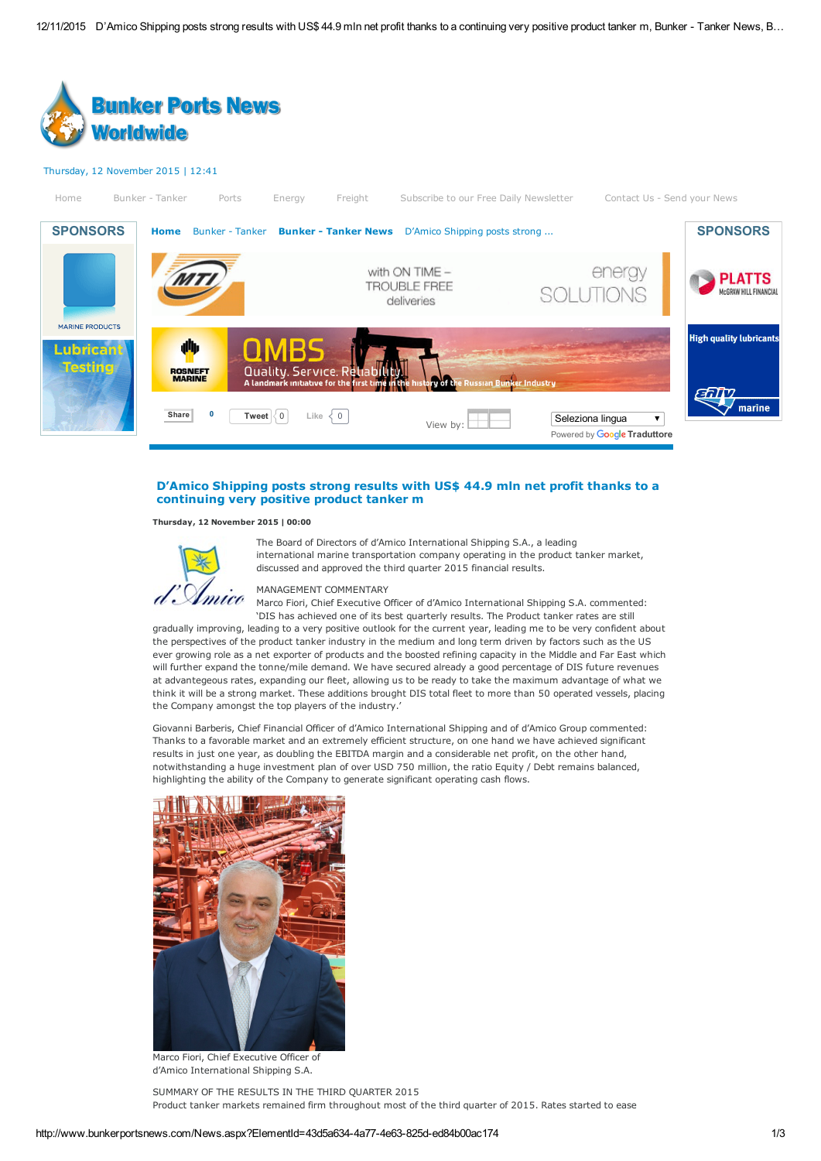

# D'Amico Shipping posts strong results with US\$ 44.9 mln net profit thanks to a continuing very positive product tanker m

#### Thursday, 12 November 2015 | 00:00



The Board of Directors of d'Amico International Shipping S.A., a leading international marine transportation company operating in the product tanker market, discussed and approved the third quarter 2015 financial results.

## MANAGEMENT COMMENTARY

Marco Fiori, Chief Executive Officer of d'Amico International Shipping S.A. commented: 'DIS has achieved one of its best quarterly results. The Product tanker rates are still

gradually improving, leading to a very positive outlook for the current year, leading me to be very confident about the perspectives of the product tanker industry in the medium and long term driven by factors such as the US ever growing role as a net exporter of products and the boosted refining capacity in the Middle and Far East which will further expand the tonne/mile demand. We have secured already a good percentage of DIS future revenues at advantegeous rates, expanding our fleet, allowing us to be ready to take the maximum advantage of what we think it will be a strong market. These additions brought DIS total fleet to more than 50 operated vessels, placing the Company amongst the top players of the industry.'

Giovanni Barberis, Chief Financial Officer of d'Amico International Shipping and of d'Amico Group commented: Thanks to a favorable market and an extremely efficient structure, on one hand we have achieved significant results in just one year, as doubling the EBITDA margin and a considerable net profit, on the other hand, notwithstanding a huge investment plan of over USD 750 million, the ratio Equity / Debt remains balanced, highlighting the ability of the Company to generate significant operating cash flows.



Marco Fiori, Chief Executive Officer of d'Amico International Shipping S.A.

SUMMARY OF THE RESULTS IN THE THIRD QUARTER 2015 Product tanker markets remained firm throughout most of the third quarter of 2015. Rates started to ease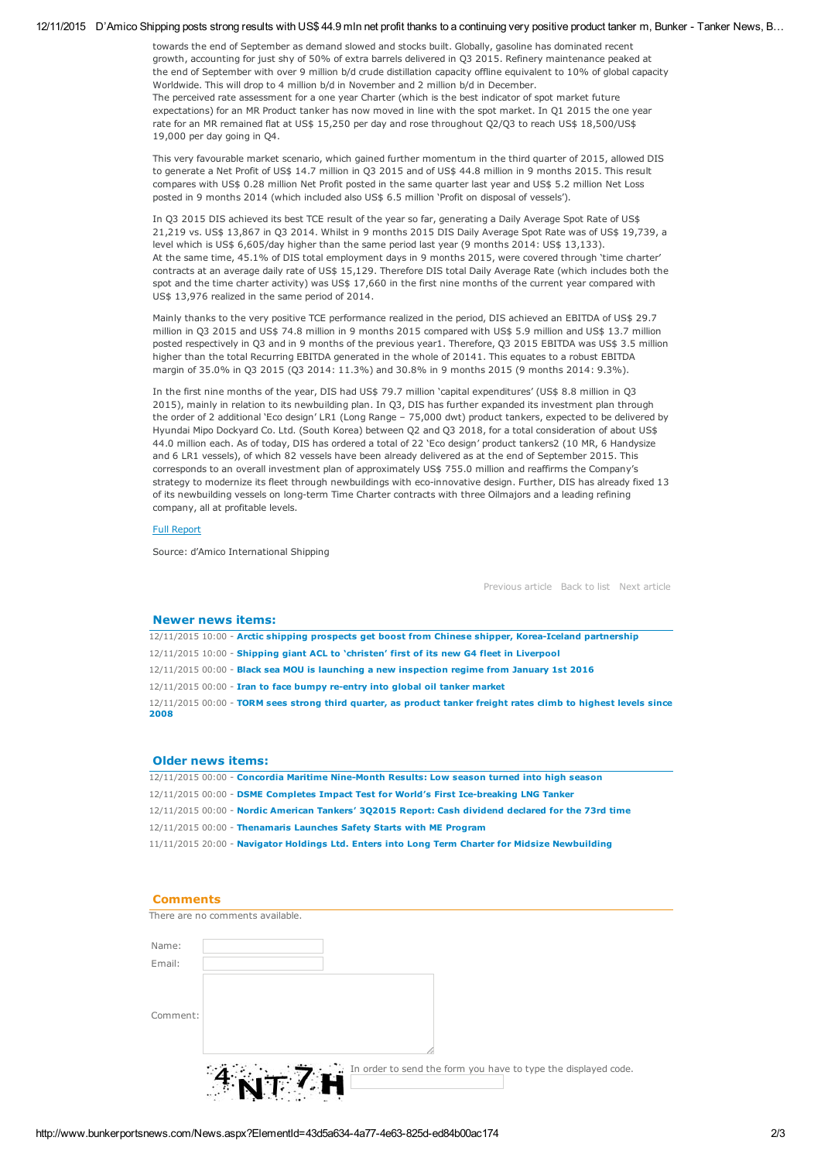#### 12/11/2015 D'Amico Shipping posts strong results with US\$ 44.9 mln net profit thanks to a continuing very positive product tanker m, Bunker - Tanker News, B...

towards the end of September as demand slowed and stocks built. Globally, gasoline has dominated recent growth, accounting for just shy of 50% of extra barrels delivered in Q3 2015. Refinery maintenance peaked at the end of September with over 9 million b/d crude distillation capacity offline equivalent to 10% of global capacity Worldwide. This will drop to 4 million b/d in November and 2 million b/d in December. The perceived rate assessment for a one year Charter (which is the best indicator of spot market future expectations) for an MR Product tanker has now moved in line with the spot market. In Q1 2015 the one year rate for an MR remained flat at US\$ 15,250 per day and rose throughout Q2/Q3 to reach US\$ 18,500/US\$ 19,000 per day going in Q4.

This very favourable market scenario, which gained further momentum in the third quarter of 2015, allowed DIS to generate a Net Profit of US\$ 14.7 million in Q3 2015 and of US\$ 44.8 million in 9 months 2015. This result compares with US\$ 0.28 million Net Profit posted in the same quarter last year and US\$ 5.2 million Net Loss posted in 9 months 2014 (which included also US\$ 6.5 million 'Profit on disposal of vessels').

In Q3 2015 DIS achieved its best TCE result of the year so far, generating a Daily Average Spot Rate of US\$ 21,219 vs. US\$ 13,867 in Q3 2014. Whilst in 9 months 2015 DIS Daily Average Spot Rate was of US\$ 19,739, a level which is US\$ 6,605/day higher than the same period last year (9 months 2014: US\$ 13,133). At the same time, 45.1% of DIS total employment days in 9 months 2015, were covered through 'time charter' contracts at an average daily rate of US\$ 15,129. Therefore DIS total Daily Average Rate (which includes both the spot and the time charter activity) was US\$ 17,660 in the first nine months of the current year compared with US\$ 13,976 realized in the same period of 2014.

Mainly thanks to the very positive TCE performance realized in the period, DIS achieved an EBITDA of US\$ 29.7 million in Q3 2015 and US\$ 74.8 million in 9 months 2015 compared with US\$ 5.9 million and US\$ 13.7 million posted respectively in Q3 and in 9 months of the previous year1. Therefore, Q3 2015 EBITDA was US\$ 3.5 million higher than the total Recurring EBITDA generated in the whole of 20141. This equates to a robust EBITDA margin of 35.0% in Q3 2015 (Q3 2014: 11.3%) and 30.8% in 9 months 2015 (9 months 2014: 9.3%).

In the first nine months of the year, DIS had US\$ 79.7 million 'capital expenditures' (US\$ 8.8 million in Q3 2015), mainly in relation to its newbuilding plan. In Q3, DIS has further expanded its investment plan through the order of 2 additional 'Eco design' LR1 (Long Range – 75,000 dwt) product tankers, expected to be delivered by Hyundai Mipo Dockyard Co. Ltd. (South Korea) between Q2 and Q3 2018, for a total consideration of about US\$ 44.0 million each. As of today, DIS has ordered a total of 22 'Eco design' product tankers2 (10 MR, 6 Handysize and 6 LR1 vessels), of which 82 vessels have been already delivered as at the end of September 2015. This corresponds to an overall investment plan of approximately US\$ 755.0 million and reaffirms the Company's strategy to modernize its fleet through newbuildings with eco-innovative design. Further, DIS has already fixed 13 of its newbuilding vessels on long-term Time Charter contracts with three Oilmajors and a leading refining company, all at profitable levels.

## Full [Report](http://www.hellenicshippingnews.com/wp-content/uploads/2015/11/DIS_9M_2015_PR_Results.pdf)

Source: d'Amico International Shipping

[Previous](http://www.bunkerportsnews.com/News.aspx?ElementId=b803172a-a194-485c-a8b9-04a9128d8315) article [Back](http://www.bunkerportsnews.com/News.aspx?ElementId=4b7a1bb5-bed1-40b8-81ad-3a41a7e4f2d2) to list Next [article](http://www.bunkerportsnews.com/News.aspx?ElementId=540d7c11-9324-44b3-928d-bda7fc6e3af0)

# Newer news items:

12/11/2015 10:00 - Arctic shipping prospects get boost from Chinese shipper, Korea-Iceland partnership 12/11/2015 10:00 Shipping giant ACL to 'christen' first of its new G4 fleet in [Liverpool](http://www.bunkerportsnews.com/News.aspx?ElementId=c19c207b-98f8-49cc-ba05-715e91d681bd) 12/11/2015 00:00 Black sea MOU is launching a new [inspection](http://www.bunkerportsnews.com/News.aspx?ElementId=87406fe1-1b18-41e6-8475-a23e22fecaad) regime from January 1st 2016 12/11/2015 00:00 - Iran to face bumpy re-entry into global oil tanker market [12/11/2015](http://www.bunkerportsnews.com/News.aspx?ElementId=b803172a-a194-485c-a8b9-04a9128d8315) 00:00 - TORM sees strong third quarter, as product tanker freight rates climb to highest levels since 2008

### Older news items:

12/11/2015 00:00 - Concordia Maritime Nine-Month Results: Low season turned into high season 12/11/2015 00:00 - DSME Completes Impact Test for World's First Ice-breaking LNG Tanker 12/11/2015 00:00 Nordic [American](http://www.bunkerportsnews.com/News.aspx?ElementId=348a1dfe-b035-4cbe-902e-c38344a5da78) Tankers' 3Q2015 Report: Cash dividend declared for the 73rd time 12/11/2015 00:00 - [Thenamaris](http://www.bunkerportsnews.com/News.aspx?ElementId=3cd2c3f5-21a8-4ef7-bf63-7e3e06a17f31) Launches Safety Starts with ME Program 11/11/2015 20:00 - Navigator Holdings Ltd. Enters into Long Term Charter for Midsize [Newbuilding](http://www.bunkerportsnews.com/News.aspx?ElementId=0b0f033a-3b4e-4285-8fc6-1199d797634c)

### **Comments**

|          | There are no comments available.                               |
|----------|----------------------------------------------------------------|
| Name:    |                                                                |
| Email:   |                                                                |
|          |                                                                |
| Comment: |                                                                |
|          |                                                                |
|          | In order to send the form you have to type the displayed code. |